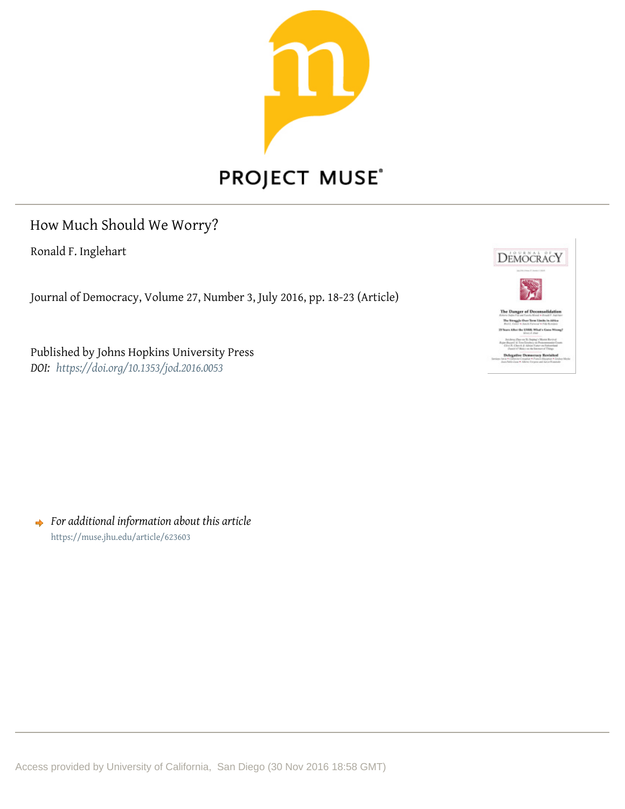

# How Much Should We Worry?

Ronald F. Inglehart

Journal of Democracy, Volume 27, Number 3, July 2016, pp. 18-23 (Article)

Published by Johns Hopkins University Press **DOI:** https://doi.org/10.1353/jod.2016.0053



**→** For additional information about this article https://muse.jhu.edu/article/623603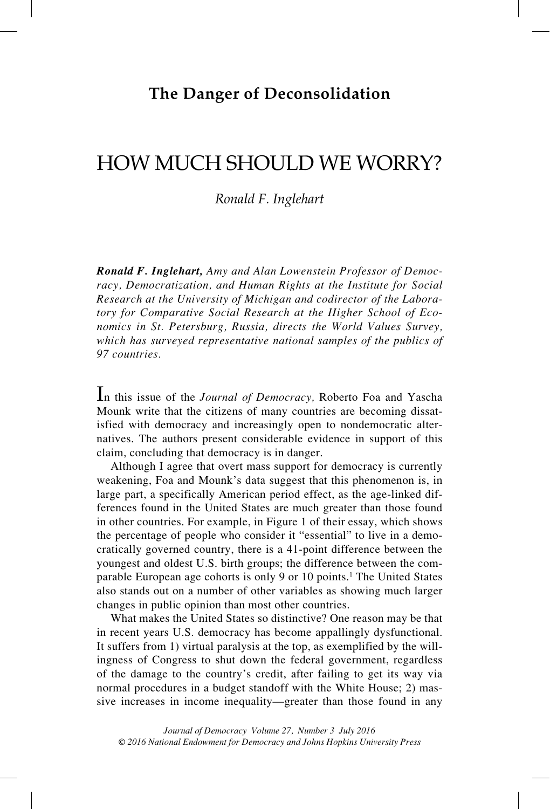# **The Danger of Deconsolidation**

# HOW MUCH SHOULD WE WORRY?

# *Ronald F. Inglehart*

*Ronald F. Inglehart, Amy and Alan Lowenstein Professor of Democracy, Democratization, and Human Rights at the Institute for Social Research at the University of Michigan and codirector of the Laboratory for Comparative Social Research at the Higher School of Economics in St. Petersburg, Russia, directs the World Values Survey, which has surveyed representative national samples of the publics of 97 countries.*

In this issue of the *Journal of Democracy,* Roberto Foa and Yascha Mounk write that the citizens of many countries are becoming dissatisfied with democracy and increasingly open to nondemocratic alternatives. The authors present considerable evidence in support of this claim, concluding that democracy is in danger.

Although I agree that overt mass support for democracy is currently weakening, Foa and Mounk's data suggest that this phenomenon is, in large part, a specifically American period effect, as the age-linked differences found in the United States are much greater than those found in other countries. For example, in Figure 1 of their essay, which shows the percentage of people who consider it "essential" to live in a democratically governed country, there is a 41-point difference between the youngest and oldest U.S. birth groups; the difference between the comparable European age cohorts is only 9 or 10 points.<sup>1</sup> The United States also stands out on a number of other variables as showing much larger changes in public opinion than most other countries.

What makes the United States so distinctive? One reason may be that in recent years U.S. democracy has become appallingly dysfunctional. It suffers from 1) virtual paralysis at the top, as exemplified by the willingness of Congress to shut down the federal government, regardless of the damage to the country's credit, after failing to get its way via normal procedures in a budget standoff with the White House; 2) massive increases in income inequality—greater than those found in any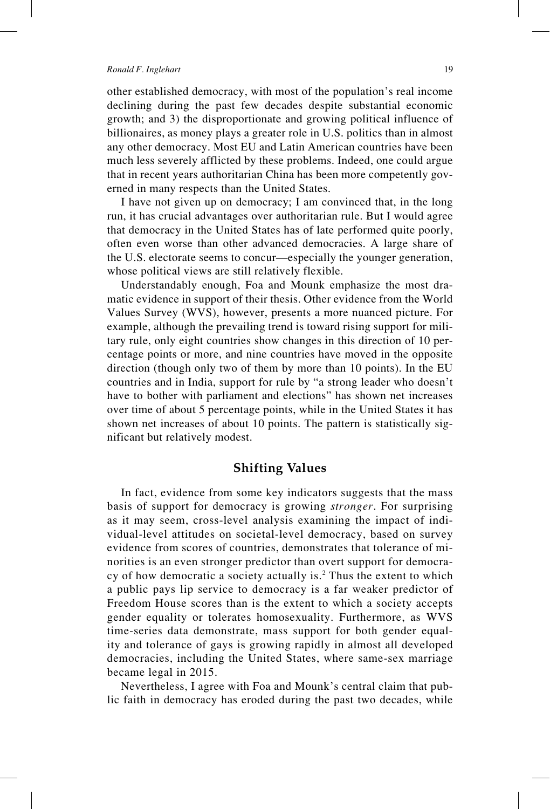#### *Ronald F. Inglehart* 19

other established democracy, with most of the population's real income declining during the past few decades despite substantial economic growth; and 3) the disproportionate and growing political influence of billionaires, as money plays a greater role in U.S. politics than in almost any other democracy. Most EU and Latin American countries have been much less severely afflicted by these problems. Indeed, one could argue that in recent years authoritarian China has been more competently governed in many respects than the United States.

I have not given up on democracy; I am convinced that, in the long run, it has crucial advantages over authoritarian rule. But I would agree that democracy in the United States has of late performed quite poorly, often even worse than other advanced democracies. A large share of the U.S. electorate seems to concur—especially the younger generation, whose political views are still relatively flexible.

Understandably enough, Foa and Mounk emphasize the most dramatic evidence in support of their thesis. Other evidence from the World Values Survey (WVS), however, presents a more nuanced picture. For example, although the prevailing trend is toward rising support for military rule, only eight countries show changes in this direction of 10 percentage points or more, and nine countries have moved in the opposite direction (though only two of them by more than 10 points). In the EU countries and in India, support for rule by "a strong leader who doesn't have to bother with parliament and elections" has shown net increases over time of about 5 percentage points, while in the United States it has shown net increases of about 10 points. The pattern is statistically significant but relatively modest.

## **Shifting Values**

In fact, evidence from some key indicators suggests that the mass basis of support for democracy is growing *stronger*. For surprising as it may seem, cross-level analysis examining the impact of individual-level attitudes on societal-level democracy, based on survey evidence from scores of countries, demonstrates that tolerance of minorities is an even stronger predictor than overt support for democracy of how democratic a society actually is.<sup>2</sup> Thus the extent to which a public pays lip service to democracy is a far weaker predictor of Freedom House scores than is the extent to which a society accepts gender equality or tolerates homosexuality. Furthermore, as WVS time-series data demonstrate, mass support for both gender equality and tolerance of gays is growing rapidly in almost all developed democracies, including the United States, where same-sex marriage became legal in 2015.

Nevertheless, I agree with Foa and Mounk's central claim that public faith in democracy has eroded during the past two decades, while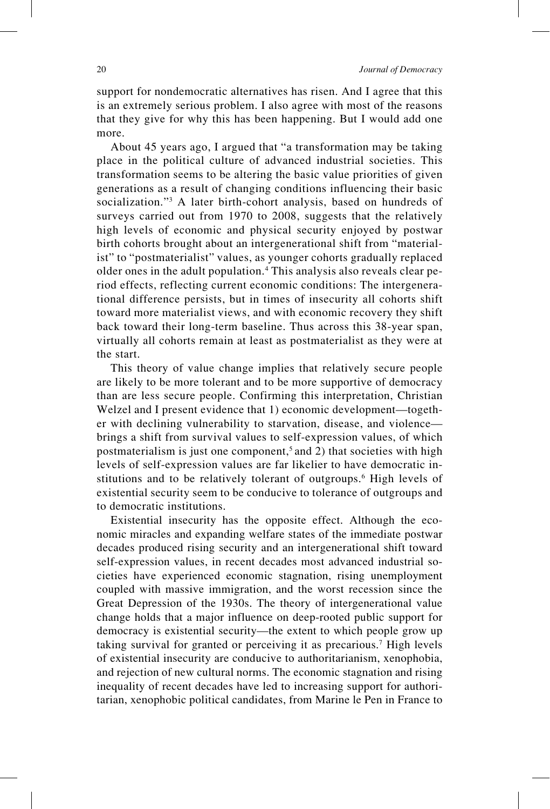support for nondemocratic alternatives has risen. And I agree that this is an extremely serious problem. I also agree with most of the reasons that they give for why this has been happening. But I would add one more.

About 45 years ago, I argued that "a transformation may be taking place in the political culture of advanced industrial societies. This transformation seems to be altering the basic value priorities of given generations as a result of changing conditions influencing their basic socialization."<sup>3</sup> A later birth-cohort analysis, based on hundreds of surveys carried out from 1970 to 2008, suggests that the relatively high levels of economic and physical security enjoyed by postwar birth cohorts brought about an intergenerational shift from "materialist" to "postmaterialist" values, as younger cohorts gradually replaced older ones in the adult population.4 This analysis also reveals clear period effects, reflecting current economic conditions: The intergenerational difference persists, but in times of insecurity all cohorts shift toward more materialist views, and with economic recovery they shift back toward their long-term baseline. Thus across this 38-year span, virtually all cohorts remain at least as postmaterialist as they were at the start.

This theory of value change implies that relatively secure people are likely to be more tolerant and to be more supportive of democracy than are less secure people. Confirming this interpretation, Christian Welzel and I present evidence that 1) economic development—together with declining vulnerability to starvation, disease, and violence brings a shift from survival values to self-expression values, of which postmaterialism is just one component,<sup>5</sup> and 2) that societies with high levels of self-expression values are far likelier to have democratic institutions and to be relatively tolerant of outgroups.<sup>6</sup> High levels of existential security seem to be conducive to tolerance of outgroups and to democratic institutions.

Existential insecurity has the opposite effect. Although the economic miracles and expanding welfare states of the immediate postwar decades produced rising security and an intergenerational shift toward self-expression values, in recent decades most advanced industrial societies have experienced economic stagnation, rising unemployment coupled with massive immigration, and the worst recession since the Great Depression of the 1930s. The theory of intergenerational value change holds that a major influence on deep-rooted public support for democracy is existential security—the extent to which people grow up taking survival for granted or perceiving it as precarious.7 High levels of existential insecurity are conducive to authoritarianism, xenophobia, and rejection of new cultural norms. The economic stagnation and rising inequality of recent decades have led to increasing support for authoritarian, xenophobic political candidates, from Marine le Pen in France to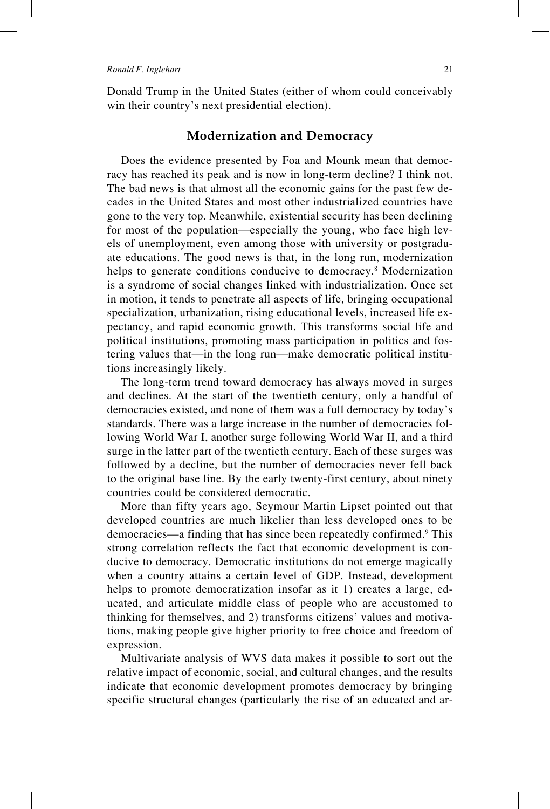Donald Trump in the United States (either of whom could conceivably win their country's next presidential election).

## **Modernization and Democracy**

Does the evidence presented by Foa and Mounk mean that democracy has reached its peak and is now in long-term decline? I think not. The bad news is that almost all the economic gains for the past few decades in the United States and most other industrialized countries have gone to the very top. Meanwhile, existential security has been declining for most of the population—especially the young, who face high levels of unemployment, even among those with university or postgraduate educations. The good news is that, in the long run, modernization helps to generate conditions conducive to democracy.<sup>8</sup> Modernization is a syndrome of social changes linked with industrialization. Once set in motion, it tends to penetrate all aspects of life, bringing occupational specialization, urbanization, rising educational levels, increased life expectancy, and rapid economic growth. This transforms social life and political institutions, promoting mass participation in politics and fostering values that—in the long run—make democratic political institutions increasingly likely.

The long-term trend toward democracy has always moved in surges and declines. At the start of the twentieth century, only a handful of democracies existed, and none of them was a full democracy by today's standards. There was a large increase in the number of democracies following World War I, another surge following World War II, and a third surge in the latter part of the twentieth century. Each of these surges was followed by a decline, but the number of democracies never fell back to the original base line. By the early twenty-first century, about ninety countries could be considered democratic.

More than fifty years ago, Seymour Martin Lipset pointed out that developed countries are much likelier than less developed ones to be democracies—a finding that has since been repeatedly confirmed.<sup>9</sup> This strong correlation reflects the fact that economic development is conducive to democracy. Democratic institutions do not emerge magically when a country attains a certain level of GDP. Instead, development helps to promote democratization insofar as it 1) creates a large, educated, and articulate middle class of people who are accustomed to thinking for themselves, and 2) transforms citizens' values and motivations, making people give higher priority to free choice and freedom of expression.

Multivariate analysis of WVS data makes it possible to sort out the relative impact of economic, social, and cultural changes, and the results indicate that economic development promotes democracy by bringing specific structural changes (particularly the rise of an educated and ar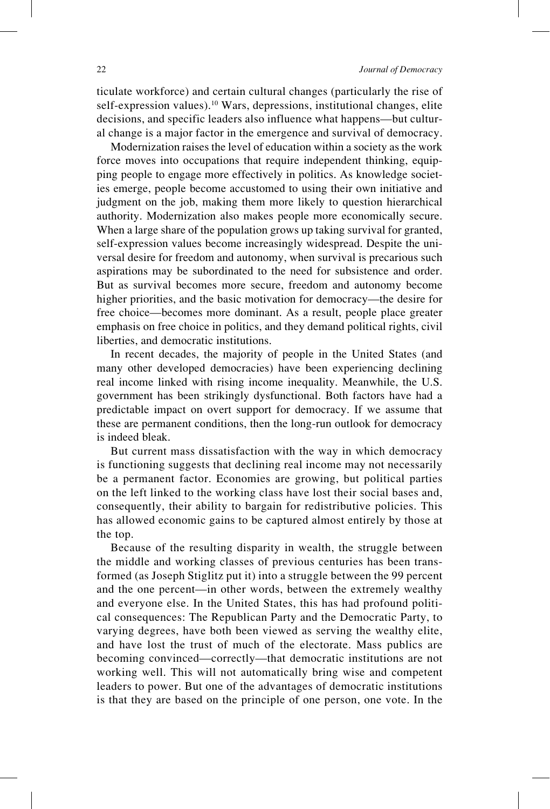ticulate workforce) and certain cultural changes (particularly the rise of self-expression values).10 Wars, depressions, institutional changes, elite decisions, and specific leaders also influence what happens—but cultural change is a major factor in the emergence and survival of democracy.

Modernization raises the level of education within a society as the work force moves into occupations that require independent thinking, equipping people to engage more effectively in politics. As knowledge societies emerge, people become accustomed to using their own initiative and judgment on the job, making them more likely to question hierarchical authority. Modernization also makes people more economically secure. When a large share of the population grows up taking survival for granted, self-expression values become increasingly widespread. Despite the universal desire for freedom and autonomy, when survival is precarious such aspirations may be subordinated to the need for subsistence and order. But as survival becomes more secure, freedom and autonomy become higher priorities, and the basic motivation for democracy—the desire for free choice—becomes more dominant. As a result, people place greater emphasis on free choice in politics, and they demand political rights, civil liberties, and democratic institutions.

In recent decades, the majority of people in the United States (and many other developed democracies) have been experiencing declining real income linked with rising income inequality. Meanwhile, the U.S. government has been strikingly dysfunctional. Both factors have had a predictable impact on overt support for democracy. If we assume that these are permanent conditions, then the long-run outlook for democracy is indeed bleak.

But current mass dissatisfaction with the way in which democracy is functioning suggests that declining real income may not necessarily be a permanent factor. Economies are growing, but political parties on the left linked to the working class have lost their social bases and, consequently, their ability to bargain for redistributive policies. This has allowed economic gains to be captured almost entirely by those at the top.

Because of the resulting disparity in wealth, the struggle between the middle and working classes of previous centuries has been transformed (as Joseph Stiglitz put it) into a struggle between the 99 percent and the one percent—in other words, between the extremely wealthy and everyone else. In the United States, this has had profound political consequences: The Republican Party and the Democratic Party, to varying degrees, have both been viewed as serving the wealthy elite, and have lost the trust of much of the electorate. Mass publics are becoming convinced—correctly—that democratic institutions are not working well. This will not automatically bring wise and competent leaders to power. But one of the advantages of democratic institutions is that they are based on the principle of one person, one vote. In the